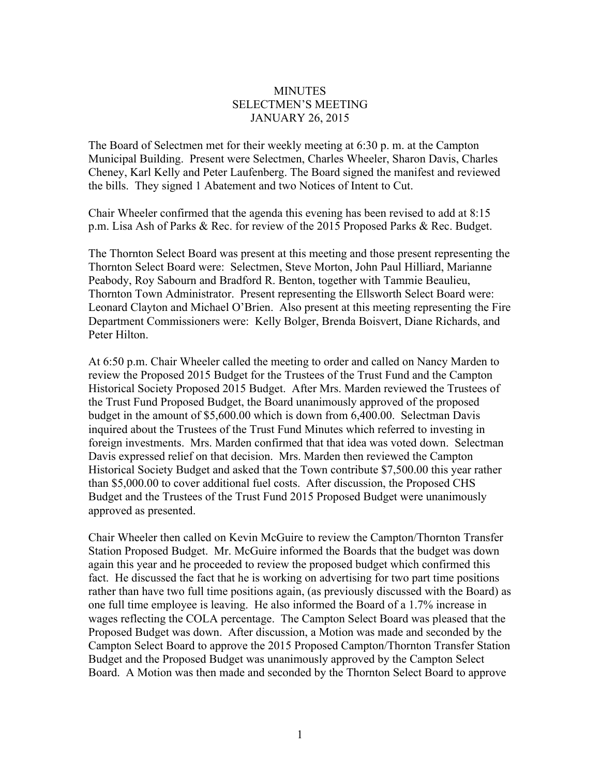## **MINUTES** SELECTMEN'S MEETING JANUARY 26, 2015

The Board of Selectmen met for their weekly meeting at 6:30 p. m. at the Campton Municipal Building. Present were Selectmen, Charles Wheeler, Sharon Davis, Charles Cheney, Karl Kelly and Peter Laufenberg. The Board signed the manifest and reviewed the bills. They signed 1 Abatement and two Notices of Intent to Cut.

Chair Wheeler confirmed that the agenda this evening has been revised to add at 8:15 p.m. Lisa Ash of Parks & Rec. for review of the 2015 Proposed Parks & Rec. Budget.

The Thornton Select Board was present at this meeting and those present representing the Thornton Select Board were: Selectmen, Steve Morton, John Paul Hilliard, Marianne Peabody, Roy Sabourn and Bradford R. Benton, together with Tammie Beaulieu, Thornton Town Administrator. Present representing the Ellsworth Select Board were: Leonard Clayton and Michael O'Brien. Also present at this meeting representing the Fire Department Commissioners were: Kelly Bolger, Brenda Boisvert, Diane Richards, and Peter Hilton.

At 6:50 p.m. Chair Wheeler called the meeting to order and called on Nancy Marden to review the Proposed 2015 Budget for the Trustees of the Trust Fund and the Campton Historical Society Proposed 2015 Budget. After Mrs. Marden reviewed the Trustees of the Trust Fund Proposed Budget, the Board unanimously approved of the proposed budget in the amount of \$5,600.00 which is down from 6,400.00. Selectman Davis inquired about the Trustees of the Trust Fund Minutes which referred to investing in foreign investments. Mrs. Marden confirmed that that idea was voted down. Selectman Davis expressed relief on that decision. Mrs. Marden then reviewed the Campton Historical Society Budget and asked that the Town contribute \$7,500.00 this year rather than \$5,000.00 to cover additional fuel costs. After discussion, the Proposed CHS Budget and the Trustees of the Trust Fund 2015 Proposed Budget were unanimously approved as presented.

Chair Wheeler then called on Kevin McGuire to review the Campton/Thornton Transfer Station Proposed Budget. Mr. McGuire informed the Boards that the budget was down again this year and he proceeded to review the proposed budget which confirmed this fact. He discussed the fact that he is working on advertising for two part time positions rather than have two full time positions again, (as previously discussed with the Board) as one full time employee is leaving. He also informed the Board of a 1.7% increase in wages reflecting the COLA percentage. The Campton Select Board was pleased that the Proposed Budget was down. After discussion, a Motion was made and seconded by the Campton Select Board to approve the 2015 Proposed Campton/Thornton Transfer Station Budget and the Proposed Budget was unanimously approved by the Campton Select Board. A Motion was then made and seconded by the Thornton Select Board to approve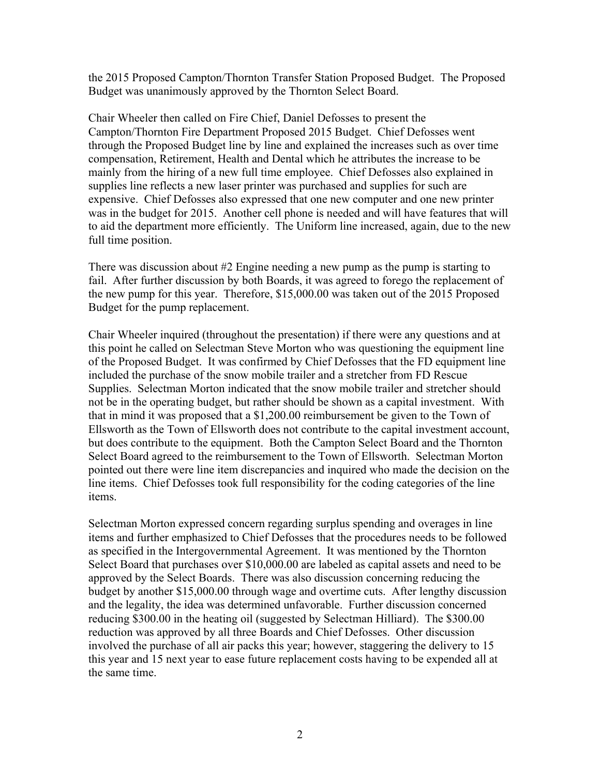the 2015 Proposed Campton/Thornton Transfer Station Proposed Budget. The Proposed Budget was unanimously approved by the Thornton Select Board.

Chair Wheeler then called on Fire Chief, Daniel Defosses to present the Campton/Thornton Fire Department Proposed 2015 Budget. Chief Defosses went through the Proposed Budget line by line and explained the increases such as over time compensation, Retirement, Health and Dental which he attributes the increase to be mainly from the hiring of a new full time employee. Chief Defosses also explained in supplies line reflects a new laser printer was purchased and supplies for such are expensive. Chief Defosses also expressed that one new computer and one new printer was in the budget for 2015. Another cell phone is needed and will have features that will to aid the department more efficiently. The Uniform line increased, again, due to the new full time position.

There was discussion about #2 Engine needing a new pump as the pump is starting to fail. After further discussion by both Boards, it was agreed to forego the replacement of the new pump for this year. Therefore, \$15,000.00 was taken out of the 2015 Proposed Budget for the pump replacement.

Chair Wheeler inquired (throughout the presentation) if there were any questions and at this point he called on Selectman Steve Morton who was questioning the equipment line of the Proposed Budget. It was confirmed by Chief Defosses that the FD equipment line included the purchase of the snow mobile trailer and a stretcher from FD Rescue Supplies. Selectman Morton indicated that the snow mobile trailer and stretcher should not be in the operating budget, but rather should be shown as a capital investment. With that in mind it was proposed that a \$1,200.00 reimbursement be given to the Town of Ellsworth as the Town of Ellsworth does not contribute to the capital investment account, but does contribute to the equipment. Both the Campton Select Board and the Thornton Select Board agreed to the reimbursement to the Town of Ellsworth. Selectman Morton pointed out there were line item discrepancies and inquired who made the decision on the line items. Chief Defosses took full responsibility for the coding categories of the line items.

Selectman Morton expressed concern regarding surplus spending and overages in line items and further emphasized to Chief Defosses that the procedures needs to be followed as specified in the Intergovernmental Agreement. It was mentioned by the Thornton Select Board that purchases over \$10,000.00 are labeled as capital assets and need to be approved by the Select Boards. There was also discussion concerning reducing the budget by another \$15,000.00 through wage and overtime cuts. After lengthy discussion and the legality, the idea was determined unfavorable. Further discussion concerned reducing \$300.00 in the heating oil (suggested by Selectman Hilliard). The \$300.00 reduction was approved by all three Boards and Chief Defosses. Other discussion involved the purchase of all air packs this year; however, staggering the delivery to 15 this year and 15 next year to ease future replacement costs having to be expended all at the same time.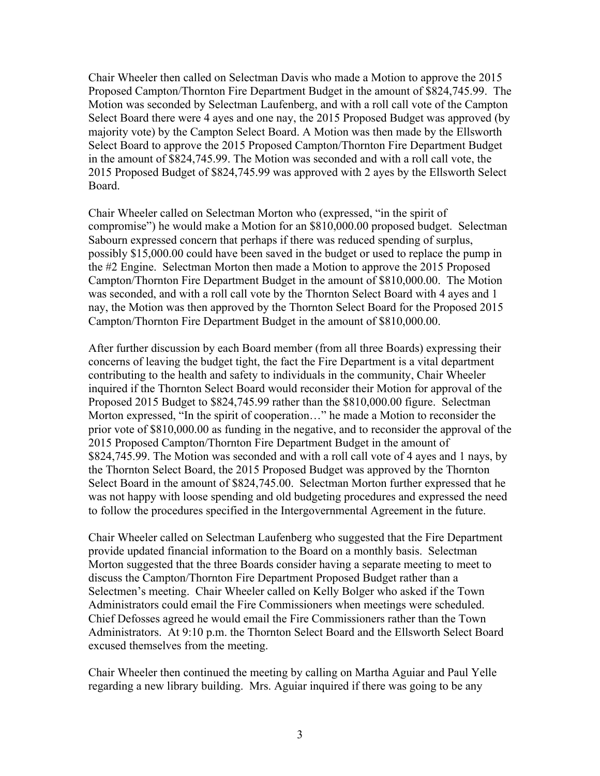Chair Wheeler then called on Selectman Davis who made a Motion to approve the 2015 Proposed Campton/Thornton Fire Department Budget in the amount of \$824,745.99. The Motion was seconded by Selectman Laufenberg, and with a roll call vote of the Campton Select Board there were 4 ayes and one nay, the 2015 Proposed Budget was approved (by majority vote) by the Campton Select Board. A Motion was then made by the Ellsworth Select Board to approve the 2015 Proposed Campton/Thornton Fire Department Budget in the amount of \$824,745.99. The Motion was seconded and with a roll call vote, the 2015 Proposed Budget of \$824,745.99 was approved with 2 ayes by the Ellsworth Select Board.

Chair Wheeler called on Selectman Morton who (expressed, "in the spirit of compromise") he would make a Motion for an \$810,000.00 proposed budget. Selectman Sabourn expressed concern that perhaps if there was reduced spending of surplus, possibly \$15,000.00 could have been saved in the budget or used to replace the pump in the #2 Engine. Selectman Morton then made a Motion to approve the 2015 Proposed Campton/Thornton Fire Department Budget in the amount of \$810,000.00. The Motion was seconded, and with a roll call vote by the Thornton Select Board with 4 ayes and 1 nay, the Motion was then approved by the Thornton Select Board for the Proposed 2015 Campton/Thornton Fire Department Budget in the amount of \$810,000.00.

After further discussion by each Board member (from all three Boards) expressing their concerns of leaving the budget tight, the fact the Fire Department is a vital department contributing to the health and safety to individuals in the community, Chair Wheeler inquired if the Thornton Select Board would reconsider their Motion for approval of the Proposed 2015 Budget to \$824,745.99 rather than the \$810,000.00 figure. Selectman Morton expressed, "In the spirit of cooperation…" he made a Motion to reconsider the prior vote of \$810,000.00 as funding in the negative, and to reconsider the approval of the 2015 Proposed Campton/Thornton Fire Department Budget in the amount of \$824,745.99. The Motion was seconded and with a roll call vote of 4 ayes and 1 nays, by the Thornton Select Board, the 2015 Proposed Budget was approved by the Thornton Select Board in the amount of \$824,745.00. Selectman Morton further expressed that he was not happy with loose spending and old budgeting procedures and expressed the need to follow the procedures specified in the Intergovernmental Agreement in the future.

Chair Wheeler called on Selectman Laufenberg who suggested that the Fire Department provide updated financial information to the Board on a monthly basis. Selectman Morton suggested that the three Boards consider having a separate meeting to meet to discuss the Campton/Thornton Fire Department Proposed Budget rather than a Selectmen's meeting. Chair Wheeler called on Kelly Bolger who asked if the Town Administrators could email the Fire Commissioners when meetings were scheduled. Chief Defosses agreed he would email the Fire Commissioners rather than the Town Administrators. At 9:10 p.m. the Thornton Select Board and the Ellsworth Select Board excused themselves from the meeting.

Chair Wheeler then continued the meeting by calling on Martha Aguiar and Paul Yelle regarding a new library building. Mrs. Aguiar inquired if there was going to be any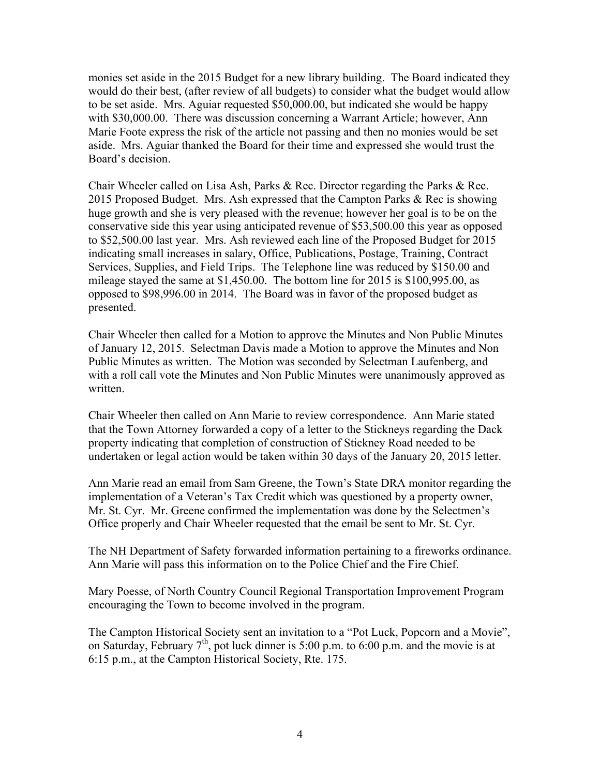monies set aside in the 2015 Budget for a new library building. The Board indicated they would do their best, (after review of all budgets) to consider what the budget would allow to be set aside. Mrs. Aguiar requested \$50,000.00, but indicated she would be happy with \$30,000.00. There was discussion concerning a Warrant Article; however, Ann Marie Foote express the risk of the article not passing and then no monies would be set aside. Mrs. Aguiar thanked the Board for their time and expressed she would trust the Board's decision.

Chair Wheeler called on Lisa Ash, Parks & Rec. Director regarding the Parks & Rec. 2015 Proposed Budget. Mrs. Ash expressed that the Campton Parks & Rec is showing huge growth and she is very pleased with the revenue; however her goal is to be on the conservative side this year using anticipated revenue of \$53,500.00 this year as opposed to \$52,500.00 last year. Mrs. Ash reviewed each line of the Proposed Budget for 2015 indicating small increases in salary, Office, Publications, Postage, Training, Contract Services, Supplies, and Field Trips. The Telephone line was reduced by \$150.00 and mileage stayed the same at \$1,450.00. The bottom line for 2015 is \$100,995.00, as opposed to \$98,996.00 in 2014. The Board was in favor of the proposed budget as presented.

Chair Wheeler then called for a Motion to approve the Minutes and Non Public Minutes of January 12, 2015. Selectman Davis made a Motion to approve the Minutes and Non Public Minutes as written. The Motion was seconded by Selectman Laufenberg, and with a roll call vote the Minutes and Non Public Minutes were unanimously approved as written.

Chair Wheeler then called on Ann Marie to review correspondence. Ann Marie stated that the Town Attorney forwarded a copy of a letter to the Stickneys regarding the Dack property indicating that completion of construction of Stickney Road needed to be undertaken or legal action would be taken within 30 days of the January 20, 2015 letter.

Ann Marie read an email from Sam Greene, the Town's State DRA monitor regarding the implementation of a Veteran's Tax Credit which was questioned by a property owner, Mr. St. Cyr. Mr. Greene confirmed the implementation was done by the Selectmen's Office properly and Chair Wheeler requested that the email be sent to Mr. St. Cyr.

The NH Department of Safety forwarded information pertaining to a fireworks ordinance. Ann Marie will pass this information on to the Police Chief and the Fire Chief.

Mary Poesse, of North Country Council Regional Transportation Improvement Program encouraging the Town to become involved in the program.

The Campton Historical Society sent an invitation to a "Pot Luck, Popcorn and a Movie", on Saturday, February  $7<sup>th</sup>$ , pot luck dinner is 5:00 p.m. to 6:00 p.m. and the movie is at 6:15 p.m., at the Campton Historical Society, Rte. 175.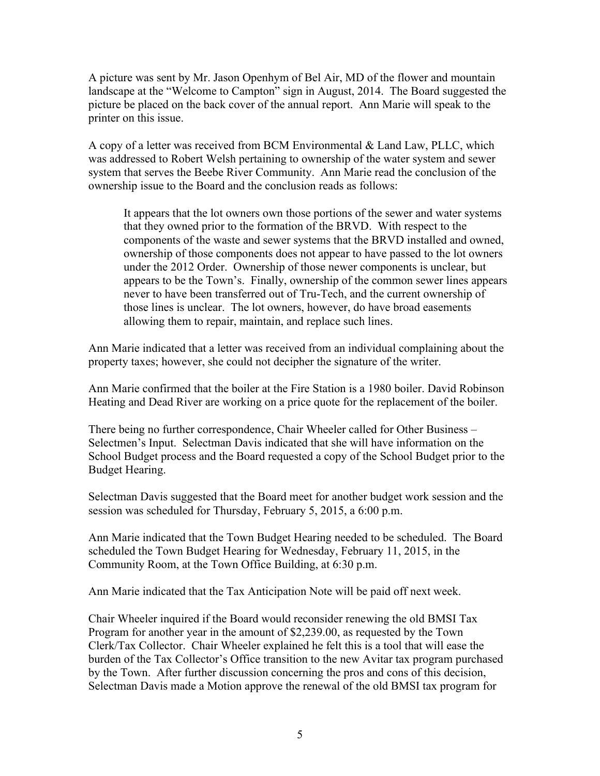A picture was sent by Mr. Jason Openhym of Bel Air, MD of the flower and mountain landscape at the "Welcome to Campton" sign in August, 2014. The Board suggested the picture be placed on the back cover of the annual report. Ann Marie will speak to the printer on this issue.

A copy of a letter was received from BCM Environmental & Land Law, PLLC, which was addressed to Robert Welsh pertaining to ownership of the water system and sewer system that serves the Beebe River Community. Ann Marie read the conclusion of the ownership issue to the Board and the conclusion reads as follows:

It appears that the lot owners own those portions of the sewer and water systems that they owned prior to the formation of the BRVD. With respect to the components of the waste and sewer systems that the BRVD installed and owned, ownership of those components does not appear to have passed to the lot owners under the 2012 Order. Ownership of those newer components is unclear, but appears to be the Town's. Finally, ownership of the common sewer lines appears never to have been transferred out of Tru-Tech, and the current ownership of those lines is unclear. The lot owners, however, do have broad easements allowing them to repair, maintain, and replace such lines.

Ann Marie indicated that a letter was received from an individual complaining about the property taxes; however, she could not decipher the signature of the writer.

Ann Marie confirmed that the boiler at the Fire Station is a 1980 boiler. David Robinson Heating and Dead River are working on a price quote for the replacement of the boiler.

There being no further correspondence, Chair Wheeler called for Other Business – Selectmen's Input. Selectman Davis indicated that she will have information on the School Budget process and the Board requested a copy of the School Budget prior to the Budget Hearing.

Selectman Davis suggested that the Board meet for another budget work session and the session was scheduled for Thursday, February 5, 2015, a 6:00 p.m.

Ann Marie indicated that the Town Budget Hearing needed to be scheduled. The Board scheduled the Town Budget Hearing for Wednesday, February 11, 2015, in the Community Room, at the Town Office Building, at 6:30 p.m.

Ann Marie indicated that the Tax Anticipation Note will be paid off next week.

Chair Wheeler inquired if the Board would reconsider renewing the old BMSI Tax Program for another year in the amount of \$2,239.00, as requested by the Town Clerk/Tax Collector. Chair Wheeler explained he felt this is a tool that will ease the burden of the Tax Collector's Office transition to the new Avitar tax program purchased by the Town. After further discussion concerning the pros and cons of this decision, Selectman Davis made a Motion approve the renewal of the old BMSI tax program for